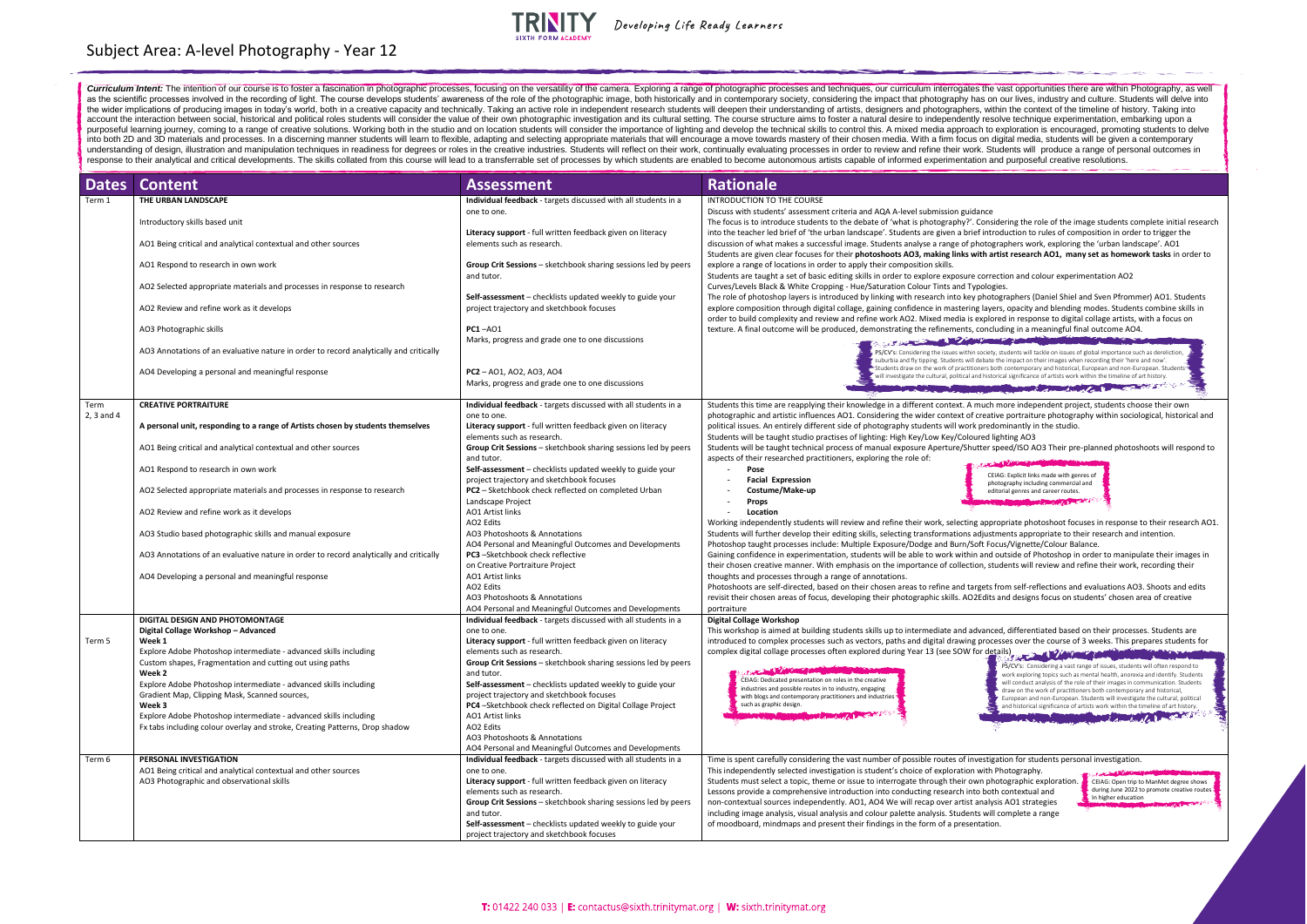| <b>Dates</b> | <b>Content</b>                                                                                                               | <b>Assessment</b>                                                                                   | <b>Rationale</b>                                                                                                                                                                                                                                                                                                                                                                                                               |
|--------------|------------------------------------------------------------------------------------------------------------------------------|-----------------------------------------------------------------------------------------------------|--------------------------------------------------------------------------------------------------------------------------------------------------------------------------------------------------------------------------------------------------------------------------------------------------------------------------------------------------------------------------------------------------------------------------------|
| Term 1       | THE URBAN LANDSCAPE                                                                                                          | Individual feedback - targets discussed with all students in a                                      | INTRODUCTION TO THE COURSE                                                                                                                                                                                                                                                                                                                                                                                                     |
|              |                                                                                                                              | one to one.                                                                                         | Discuss with students' assessment criteria and AQA A-level submission guidance                                                                                                                                                                                                                                                                                                                                                 |
|              | Introductory skills based unit                                                                                               |                                                                                                     | The focus is to introduce students to the debate of 'what is photography?'. Considering the role of the image students complete initial research                                                                                                                                                                                                                                                                               |
|              | AO1 Being critical and analytical contextual and other sources                                                               | <b>Literacy support</b> - full written feedback given on literacy<br>elements such as research.     | into the teacher led brief of 'the urban landscape'. Students are given a brief introduction to rules of composition in order to trigger the<br>discussion of what makes a successful image. Students analyse a range of photographers work, exploring the 'urban landscape'. AO1<br>Students are given clear focuses for their photoshoots AO3, making links with artist research AO1, many set as homework tasks in order to |
|              | AO1 Respond to research in own work                                                                                          | Group Crit Sessions - sketchbook sharing sessions led by peers<br>and tutor.                        | explore a range of locations in order to apply their composition skills.<br>Students are taught a set of basic editing skills in order to explore exposure correction and colour experimentation AO2                                                                                                                                                                                                                           |
|              | AO2 Selected appropriate materials and processes in response to research                                                     | Self-assessment - checklists updated weekly to guide your                                           | Curves/Levels Black & White Cropping - Hue/Saturation Colour Tints and Typologies.<br>The role of photoshop layers is introduced by linking with research into key photographers (Daniel Shiel and Sven Pfrommer) AO1. Students                                                                                                                                                                                                |
|              | AO2 Review and refine work as it develops                                                                                    | project trajectory and sketchbook focuses                                                           | explore composition through digital collage, gaining confidence in mastering layers, opacity and blending modes. Students combine skills in<br>order to build complexity and review and refine work AO2. Mixed media is explored in response to digital collage artists, with a focus on                                                                                                                                       |
|              | AO3 Photographic skills                                                                                                      | $PC1 - AO1$                                                                                         | texture. A final outcome will be produced, demonstrating the refinements, concluding in a meaningful final outcome AO4.                                                                                                                                                                                                                                                                                                        |
|              | AO3 Annotations of an evaluative nature in order to record analytically and critically                                       | Marks, progress and grade one to one discussions                                                    | The Committee of the Committee of the Committee of the Committee of the Committee of the Committee of the Committee of<br>PS/CV's: Considering the issues within society, students will tackle on issues of global importance such as dereliction,<br>suburbia and fly tipping. Students will debate the impact on their images when recording their 'here and now'                                                            |
|              | AO4 Developing a personal and meaningful response                                                                            | $PC2 - A01$ , AO2, AO3, AO4<br>Marks, progress and grade one to one discussions                     | 5-Students draw on the work of practitioners both contemporary and historical, European and non-European. Students<br>will investigate the cultural, political and historical significance of artists work within the timeline of art history.                                                                                                                                                                                 |
|              |                                                                                                                              |                                                                                                     | <b>CONTRACTOR</b> CONTRACTOR CONTRACTOR                                                                                                                                                                                                                                                                                                                                                                                        |
| Term         | <b>CREATIVE PORTRAITURE</b>                                                                                                  | Individual feedback - targets discussed with all students in a                                      | Students this time are reapplying their knowledge in a different context. A much more independent project, students choose their own                                                                                                                                                                                                                                                                                           |
| 2, 3 and 4   |                                                                                                                              | one to one.                                                                                         | photographic and artistic influences AO1. Considering the wider context of creative portraiture photography within sociological, historical and                                                                                                                                                                                                                                                                                |
|              | A personal unit, responding to a range of Artists chosen by students themselves                                              | Literacy support - full written feedback given on literacy                                          | political issues. An entirely different side of photography students will work predominantly in the studio.                                                                                                                                                                                                                                                                                                                    |
|              | AO1 Being critical and analytical contextual and other sources                                                               | elements such as research.<br>Group Crit Sessions - sketchbook sharing sessions led by peers        | Students will be taught studio practises of lighting: High Key/Low Key/Coloured lighting AO3<br>Students will be taught technical process of manual exposure Aperture/Shutter speed/ISO AO3 Their pre-planned photoshoots will respond to                                                                                                                                                                                      |
|              |                                                                                                                              | and tutor.                                                                                          | aspects of their researched practitioners, exploring the role of:                                                                                                                                                                                                                                                                                                                                                              |
|              | AO1 Respond to research in own work                                                                                          | Self-assessment - checklists updated weekly to guide your                                           | <b>Start of American Start Constitution</b><br>Pose<br>CEIAG: Explicit links made with genres of                                                                                                                                                                                                                                                                                                                               |
|              |                                                                                                                              | project trajectory and sketchbook focuses                                                           | <b>Facial Expression</b><br>photography including commercial and                                                                                                                                                                                                                                                                                                                                                               |
|              | AO2 Selected appropriate materials and processes in response to research                                                     | PC2 - Sketchbook check reflected on completed Urban<br>Landscape Project                            | Costume/Make-up<br>editorial genres and career routes.<br>Props                                                                                                                                                                                                                                                                                                                                                                |
|              | AO2 Review and refine work as it develops                                                                                    | <b>AO1 Artist links</b>                                                                             | Location                                                                                                                                                                                                                                                                                                                                                                                                                       |
|              |                                                                                                                              | AO2 Edits                                                                                           | Working independently students will review and refine their work, selecting appropriate photoshoot focuses in response to their research AO1                                                                                                                                                                                                                                                                                   |
|              | AO3 Studio based photographic skills and manual exposure                                                                     | AO3 Photoshoots & Annotations<br>AO4 Personal and Meaningful Outcomes and Developments              | Students will further develop their editing skills, selecting transformations adjustments appropriate to their research and intention.<br>Photoshop taught processes include: Multiple Exposure/Dodge and Burn/Soft Focus/Vignette/Colour Balance.                                                                                                                                                                             |
|              | AO3 Annotations of an evaluative nature in order to record analytically and critically                                       | <b>PC3</b> -Sketchbook check reflective                                                             | Gaining confidence in experimentation, students will be able to work within and outside of Photoshop in order to manipulate their images in                                                                                                                                                                                                                                                                                    |
|              |                                                                                                                              | on Creative Portraiture Project                                                                     | their chosen creative manner. With emphasis on the importance of collection, students will review and refine their work, recording their                                                                                                                                                                                                                                                                                       |
|              | AO4 Developing a personal and meaningful response                                                                            | <b>AO1 Artist links</b>                                                                             | thoughts and processes through a range of annotations.                                                                                                                                                                                                                                                                                                                                                                         |
|              |                                                                                                                              | AO2 Edits<br>AO3 Photoshoots & Annotations                                                          | Photoshoots are self-directed, based on their chosen areas to refine and targets from self-reflections and evaluations AO3. Shoots and edits<br>revisit their chosen areas of focus, developing their photographic skills. AO2Edits and designs focus on students' chosen area of creative                                                                                                                                     |
|              |                                                                                                                              | AO4 Personal and Meaningful Outcomes and Developments                                               | portraiture                                                                                                                                                                                                                                                                                                                                                                                                                    |
|              | <b>DIGITAL DESIGN AND PHOTOMONTAGE</b>                                                                                       | Individual feedback - targets discussed with all students in a                                      | Digital Collage Workshop                                                                                                                                                                                                                                                                                                                                                                                                       |
|              | Digital Collage Workshop - Advanced                                                                                          | one to one.                                                                                         | This workshop is aimed at building students skills up to intermediate and advanced, differentiated based on their processes. Students are                                                                                                                                                                                                                                                                                      |
| Term 5       | Week 1                                                                                                                       | Literacy support - full written feedback given on literacy                                          | introduced to complex processes such as vectors, paths and digital drawing processes over the course of 3 weeks. This prepares students for                                                                                                                                                                                                                                                                                    |
|              | Explore Adobe Photoshop intermediate - advanced skills including<br>Custom shapes, Fragmentation and cutting out using paths | elements such as research.<br><b>Group Crit Sessions</b> - sketchbook sharing sessions led by peers | complex digital collage processes often explored during Year 13 (see SOW for details)                                                                                                                                                                                                                                                                                                                                          |
|              | Week 2                                                                                                                       | and tutor.                                                                                          | PS/CV's: Considering a vast range of issues, students will often respond to<br><b>Control View many and control</b><br>work exploring topics such as mental health, anorexia and identify. Students                                                                                                                                                                                                                            |
|              | Explore Adobe Photoshop intermediate - advanced skills including                                                             | Self-assessment – checklists updated weekly to guide your                                           | CEIAG: Dedicated presentation on roles in the creative<br>will conduct analysis of the role of their images in communication. Students<br>industries and possible routes in to industry, engaging                                                                                                                                                                                                                              |
|              | Gradient Map, Clipping Mask, Scanned sources,                                                                                | project trajectory and sketchbook focuses                                                           | draw on the work of practitioners both contemporary and historical,<br>with blogs and contemporary practitioners and industries<br>European and non-European. Students will investigate the cultural, political                                                                                                                                                                                                                |
|              | Week 3<br>Explore Adobe Photoshop intermediate - advanced skills including                                                   | PC4-Sketchbook check reflected on Digital Collage Project<br>AO1 Artist links                       | such as graphic design.<br>and historical significance of artists work within the timeline of art history.<br>The Manufacturer of the Manufacturer of the Committee of the Committee of the Committee of the Committee of the Committee of the Committee of the Committee of the Committee of the Committee of the Committee of the Committe<br><b>DOMESTIC MARKET AND RESIDENCE</b>                                           |
|              | Fx tabs including colour overlay and stroke, Creating Patterns, Drop shadow                                                  | AO2 Edits                                                                                           |                                                                                                                                                                                                                                                                                                                                                                                                                                |
|              |                                                                                                                              | AO3 Photoshoots & Annotations                                                                       |                                                                                                                                                                                                                                                                                                                                                                                                                                |
|              |                                                                                                                              | AO4 Personal and Meaningful Outcomes and Developments                                               |                                                                                                                                                                                                                                                                                                                                                                                                                                |
| Term 6       | PERSONAL INVESTIGATION                                                                                                       | Individual feedback - targets discussed with all students in a                                      | Time is spent carefully considering the vast number of possible routes of investigation for students personal investigation.                                                                                                                                                                                                                                                                                                   |
|              | AO1 Being critical and analytical contextual and other sources<br>AO3 Photographic and observational skills                  | one to one.<br>Literacy support - full written feedback given on literacy                           | This independently selected investigation is student's choice of exploration with Photography.<br>Students must select a topic, theme or issue to interrogate through their own photographic exploration.<br>CEIAG: Open trip to ManMet degree shows                                                                                                                                                                           |
|              |                                                                                                                              | elements such as research.                                                                          | during June 2022 to promote creative routes<br>Lessons provide a comprehensive introduction into conducting research into both contextual and                                                                                                                                                                                                                                                                                  |
|              |                                                                                                                              | Group Crit Sessions - sketchbook sharing sessions led by peers                                      | In higher education<br>non-contextual sources independently. AO1, AO4 We will recap over artist analysis AO1 strategies                                                                                                                                                                                                                                                                                                        |
|              |                                                                                                                              | and tutor.                                                                                          | including image analysis, visual analysis and colour palette analysis. Students will complete a range                                                                                                                                                                                                                                                                                                                          |
|              |                                                                                                                              | Self-assessment – checklists updated weekly to guide your                                           | of moodboard, mindmaps and present their findings in the form of a presentation.                                                                                                                                                                                                                                                                                                                                               |
|              |                                                                                                                              | project trajectory and sketchbook focuses                                                           |                                                                                                                                                                                                                                                                                                                                                                                                                                |

# Subject Area: A-level Photography - Year 12



Developing Life Ready Learners

Curriculum Intent: The intention of our course is to foster a fascination in photographic processes, focusing on the versatility of the camera. Exploring a range of photographic processes and techniques, our curriculum int as the scientific processes involved in the recording of light. The course develops students' awareness of the role of the photographic image, both historically and in contemporary society, considering the impact that phot the wider implications of producing images in today's world, both in a creative capacity and technically. Taking an active role in independent research students will deepen their understanding of artists, designers and pho account the interaction between social, historical and political roles students will consider the value of their own photographic investigation and its cultural setting. The course structure aims to foster a natural desire purposeful learning journey, coming to a range of creative solutions. Working both in the studio and on location students will consider the importance of lighting and develop the technical skills to control this. A mixed m into both 2D and 3D materials and processes. In a discerning manner students will learn to flexible, adapting and selecting appropriate materials that will encourage a move towards mastery of their chosen media. With a fir understanding of design, illustration and manipulation techniques in readiness for degrees or roles in the creative industries. Students will reflect on their work, continually evaluating processes in order to review and r response to their analytical and critical developments. The skills collated from this course will lead to a transferrable set of processes by which students are enabled to become autonomous artists capable of informed expe

| our curriculum interrogates the vast opportunities there are within Photography, as well<br>impact that photography has on our lives, industry and culture. Students will delve into<br>signers and photographers, within the context of the timeline of history. Taking into<br>aral desire to independently resolve technique experimentation, embarking upon a<br>is. A mixed media approach to exploration is encouraged, promoting students to delve<br>n media. With a firm focus on digital media, students will be given a contemporary<br>review and refine their work. Students will produce a range of personal outcomes in<br>of informed experimentation and purposeful creative resolutions.                                                                   |  |
|------------------------------------------------------------------------------------------------------------------------------------------------------------------------------------------------------------------------------------------------------------------------------------------------------------------------------------------------------------------------------------------------------------------------------------------------------------------------------------------------------------------------------------------------------------------------------------------------------------------------------------------------------------------------------------------------------------------------------------------------------------------------------|--|
|                                                                                                                                                                                                                                                                                                                                                                                                                                                                                                                                                                                                                                                                                                                                                                              |  |
| AQA A-level submission guidance<br>e of 'what is photography?'. Considering the role of the image students complete initial research<br>pe'. Students are given a brief introduction to rules of composition in order to trigger the<br>tudents analyse a range of photographers work, exploring the 'urban landscape'. AO1<br>oshoots AO3, making links with artist research AO1, many set as homework tasks in order to<br>eir composition skills.<br>in order to explore exposure correction and colour experimentation AO2                                                                                                                                                                                                                                               |  |
| turation Colour Tints and Typologies.<br>nking with research into key photographers (Daniel Shiel and Sven Pfrommer) AO1. Students<br>ining confidence in mastering layers, opacity and blending modes. Students combine skills in<br>e work AO2. Mixed media is explored in response to digital collage artists, with a focus on<br>onstrating the refinements, concluding in a meaningful final outcome AO4.<br>Service of the Chamberland of the Chamberland of the Chamberland of the Chamberland of the Chamberland of the Chamberland of the Chamberland of the Chamberland of the Chamberland of the Chamberland of the Chamberland of th<br>PS/CV's: Considering the issues within society, students will tackle on issues of global importance such as dereliction, |  |
| suburbia and fly tipping. Students will debate the impact on their images when recording their 'here and now'.<br>Students draw on the work of practitioners both contemporary and historical, European and non-European. Students'<br>will investigate the cultural, political and historical significance of artists work within the timeline of art history.                                                                                                                                                                                                                                                                                                                                                                                                              |  |
| <b>CONTRACTOR</b><br>Committee Alanten                                                                                                                                                                                                                                                                                                                                                                                                                                                                                                                                                                                                                                                                                                                                       |  |
| lge in a different context. A much more independent project, students choose their own<br>idering the wider context of creative portraiture photography within sociological, historical and<br>otography students will work predominantly in the studio.<br>ing: High Key/Low Key/Coloured lighting AO3<br>nual exposure Aperture/Shutter speed/ISO AO3 Their pre-planned photoshoots will respond to<br>ring the role of:<br>CEIAG: Explicit links made with genres of<br>photography including commercial and<br>editorial genres and career routes.                                                                                                                                                                                                                       |  |
| d refine their work, selecting appropriate photoshoot focuses in response to their research AO1.<br>, selecting transformations adjustments appropriate to their research and intention.<br>Exposure/Dodge and Burn/Soft Focus/Vignette/Colour Balance.<br>ts will be able to work within and outside of Photoshop in order to manipulate their images in<br>on the importance of collection, students will review and refine their work, recording their<br>otations.<br>hosen areas to refine and targets from self-reflections and evaluations AO3. Shoots and edits<br>heir photographic skills. AO2Edits and designs focus on students' chosen area of creative                                                                                                         |  |
| Ils up to intermediate and advanced, differentiated based on their processes. Students are<br>rs, paths and digital drawing processes over the course of 3 weeks. This prepares students for<br>d during Year 13 (see SOW for details)<br>PS/CV's: Considering a vast range of issues, students will often respond to<br>work exploring topics such as mental health, anorexia and identify. Students<br>ative<br>will conduct analysis of the role of their images in communication. Students<br>ging<br>draw on the work of practitioners both contemporary and historical,<br>dustries<br>European and non-European. Students will investigate the cultural, political<br>and historical significance of artists work within the timeline of art history.<br>Augaret      |  |
| nber of possible routes of investigation for students personal investigation.<br>dent's choice of exploration with Photography.<br><b>All All Andrews</b><br>interrogate through their own photographic exploration.<br>CEIAG: Open trip to ManMet degree shows<br>during June 2022 to promote creative routes<br>into conducting research into both contextual and<br>In higher education<br>04 We will recap over artist analysis AO1 strategies<br>our palette analysis. Students will complete a range<br>dings in the form of a presentation.                                                                                                                                                                                                                           |  |